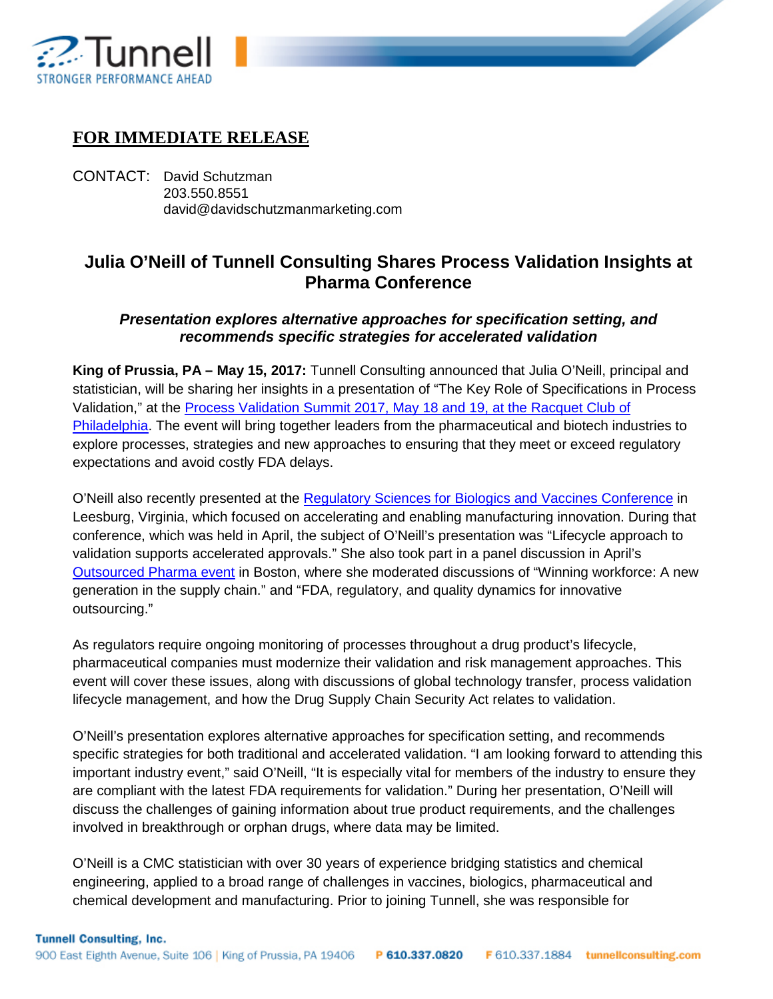

## **FOR IMMEDIATE RELEASE**

CONTACT: David Schutzman 203.550.8551 david@davidschutzmanmarketing.com

## **Julia O'Neill of Tunnell Consulting Shares Process Validation Insights at Pharma Conference**

## *Presentation explores alternative approaches for specification setting, and recommends specific strategies for accelerated validation*

**King of Prussia, PA – May 15, 2017:** Tunnell Consulting announced that Julia O'Neill, principal and statistician, will be sharing her insights in a presentation of "The Key Role of Specifications in Process Validation," at the [Process Validation Summit 2017, May 18 and 19, at the Racquet Club of](http://www.pharmaedresources.com/brochures/ProcessValidation_2017.pdf)  [Philadelphia.](http://www.pharmaedresources.com/brochures/ProcessValidation_2017.pdf) The event will bring together leaders from the pharmaceutical and biotech industries to explore processes, strategies and new approaches to ensuring that they meet or exceed regulatory expectations and avoid costly FDA delays.

O'Neill also recently presented at the [Regulatory Sciences for Biologics and Vaccines Conference](http://www.engconf.org/conferences/industrial-engineering-and-engineering-management/regulatory-sciences-for-biologics-and-vaccines-accelerating-development-and-enabling-manufacturing-innovation/) in Leesburg, Virginia, which focused on accelerating and enabling manufacturing innovation. During that conference, which was held in April, the subject of O'Neill's presentation was "Lifecycle approach to validation supports accelerated approvals." She also took part in a panel discussion in April's [Outsourced Pharma event](http://outsourcedpharmaevents.com/) in Boston, where she moderated discussions of "Winning workforce: A new generation in the supply chain." and "FDA, regulatory, and quality dynamics for innovative outsourcing."

As regulators require ongoing monitoring of processes throughout a drug product's lifecycle, pharmaceutical companies must modernize their validation and risk management approaches. This event will cover these issues, along with discussions of global technology transfer, process validation lifecycle management, and how the Drug Supply Chain Security Act relates to validation.

O'Neill's presentation explores alternative approaches for specification setting, and recommends specific strategies for both traditional and accelerated validation. "I am looking forward to attending this important industry event," said O'Neill, "It is especially vital for members of the industry to ensure they are compliant with the latest FDA requirements for validation." During her presentation, O'Neill will discuss the challenges of gaining information about true product requirements, and the challenges involved in breakthrough or orphan drugs, where data may be limited.

O'Neill is a CMC statistician with over 30 years of experience bridging statistics and chemical engineering, applied to a broad range of challenges in vaccines, biologics, pharmaceutical and chemical development and manufacturing. Prior to joining Tunnell, she was responsible for